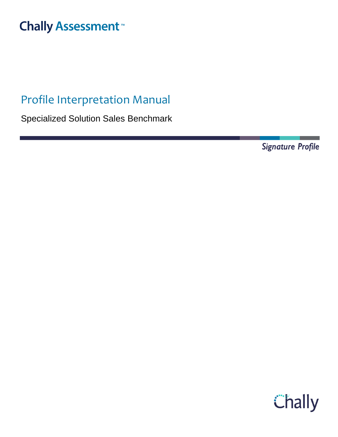# **Chally Assessment**

# Profile Interpretation Manual

Specialized Solution Sales Benchmark

Signature Profile

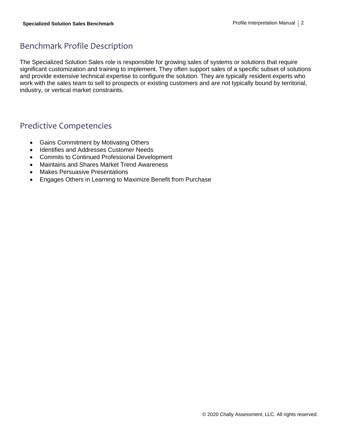## Benchmark Profile Description

The Specialized Solution Sales role is responsible for growing sales of systems or solutions that require significant customization and training to implement. They often support sales of a specific subset of solutions and provide extensive technical expertise to configure the solution. They are typically resident experts who work with the sales team to sell to prospects or existing customers and are not typically bound by territorial, industry, or vertical market constraints.

## Predictive Competencies

- Gains Commitment by Motivating Others
- Identifies and Addresses Customer Needs
- Commits to Continued Professional Development
- Maintains and Shares Market Trend Awareness
- Makes Persuasive Presentations
- Engages Others in Learning to Maximize Benefit from Purchase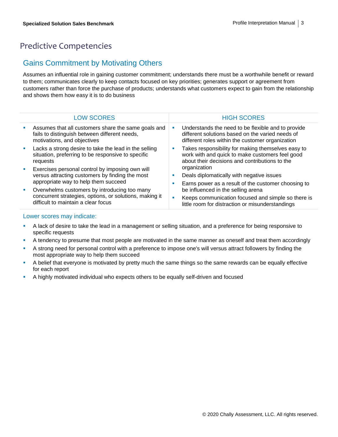## Predictive Competencies

#### Gains Commitment by Motivating Others

Assumes an influential role in gaining customer commitment; understands there must be a worthwhile benefit or reward to them; communicates clearly to keep contacts focused on key priorities; generates support or agreement from customers rather than force the purchase of products; understands what customers expect to gain from the relationship and shows them how easy it is to do business

|                             | <b>LOW SCORES</b>                                                                                                                              | <b>HIGH SCORES</b>                                                                                                                                         |
|-----------------------------|------------------------------------------------------------------------------------------------------------------------------------------------|------------------------------------------------------------------------------------------------------------------------------------------------------------|
|                             | Assumes that all customers share the same goals and<br>fails to distinguish between different needs,<br>motivations, and objectives            | Understands the need to be flexible and to provide<br>different solutions based on the varied needs of<br>different roles within the customer organization |
|                             | Lacks a strong desire to take the lead in the selling<br>situation, preferring to be responsive to specific<br>requests                        | Takes responsibility for making themselves easy to<br>work with and quick to make customers feel good<br>about their decisions and contributions to the    |
| $\mathcal{L}_{\mathcal{A}}$ | Exercises personal control by imposing own will<br>versus attracting customers by finding the most<br>appropriate way to help them succeed     | organization                                                                                                                                               |
|                             |                                                                                                                                                | Deals diplomatically with negative issues                                                                                                                  |
|                             |                                                                                                                                                | Earns power as a result of the customer choosing to                                                                                                        |
| ш                           | Overwhelms customers by introducing too many<br>concurrent strategies, options, or solutions, making it<br>difficult to maintain a clear focus | be influenced in the selling arena                                                                                                                         |
|                             |                                                                                                                                                | Keeps communication focused and simple so there is<br>little room for distraction or misunderstandings                                                     |

- A lack of desire to take the lead in a management or selling situation, and a preference for being responsive to specific requests
- A tendency to presume that most people are motivated in the same manner as oneself and treat them accordingly
- A strong need for personal control with a preference to impose one's will versus attract followers by finding the most appropriate way to help them succeed
- **•** A belief that everyone is motivated by pretty much the same things so the same rewards can be equally effective for each report
- A highly motivated individual who expects others to be equally self-driven and focused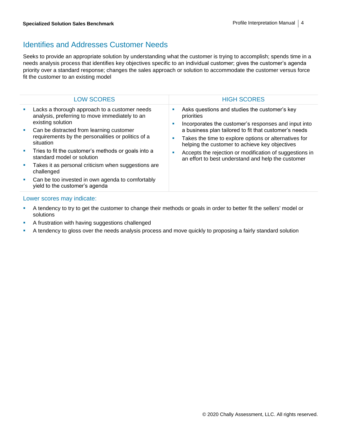### Identifies and Addresses Customer Needs

Seeks to provide an appropriate solution by understanding what the customer is trying to accomplish; spends time in a needs analysis process that identifies key objectives specific to an individual customer; gives the customer's agenda priority over a standard response; changes the sales approach or solution to accommodate the customer versus force fit the customer to an existing model

| <b>LOW SCORES</b>                                                                                                    |         | <b>HIGH SCORES</b>                                                                                                                                               |
|----------------------------------------------------------------------------------------------------------------------|---------|------------------------------------------------------------------------------------------------------------------------------------------------------------------|
| Lacks a thorough approach to a customer needs<br>analysis, preferring to move immediately to an<br>existing solution | ш<br>a. | Asks questions and studies the customer's key<br>priorities<br>Incorporates the customer's responses and input into                                              |
| Can be distracted from learning customer<br>requirements by the personalities or politics of a<br>situation          | a.      | a business plan tailored to fit that customer's needs<br>Takes the time to explore options or alternatives for<br>helping the customer to achieve key objectives |
| Tries to fit the customer's methods or goals into a<br>standard model or solution                                    | ш       | Accepts the rejection or modification of suggestions in<br>an effort to best understand and help the customer                                                    |
| Takes it as personal criticism when suggestions are<br>challenged                                                    |         |                                                                                                                                                                  |
| Can be too invested in own agenda to comfortably<br>yield to the customer's agenda                                   |         |                                                                                                                                                                  |

- **EXECT** A tendency to try to get the customer to change their methods or goals in order to better fit the sellers' model or solutions
- **EXEC** A frustration with having suggestions challenged
- A tendency to gloss over the needs analysis process and move quickly to proposing a fairly standard solution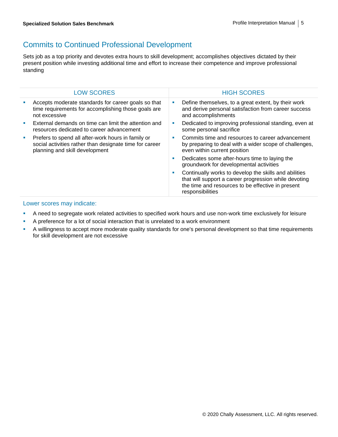## Commits to Continued Professional Development

Sets job as a top priority and devotes extra hours to skill development; accomplishes objectives dictated by their present position while investing additional time and effort to increase their competence and improve professional standing

| <b>LOW SCORES</b>                                                                                                                               |          | <b>HIGH SCORES</b>                                                                                                                                                                      |
|-------------------------------------------------------------------------------------------------------------------------------------------------|----------|-----------------------------------------------------------------------------------------------------------------------------------------------------------------------------------------|
| Accepts moderate standards for career goals so that<br>time requirements for accomplishing those goals are<br>not excessive                     | ш        | Define themselves, to a great extent, by their work<br>and derive personal satisfaction from career success<br>and accomplishments                                                      |
| External demands on time can limit the attention and<br>resources dedicated to career advancement                                               | <b>I</b> | Dedicated to improving professional standing, even at<br>some personal sacrifice                                                                                                        |
| Prefers to spend all after-work hours in family or<br>social activities rather than designate time for career<br>planning and skill development | ш        | Commits time and resources to career advancement<br>by preparing to deal with a wider scope of challenges,<br>even within current position                                              |
|                                                                                                                                                 | ш        | Dedicates some after-hours time to laying the<br>groundwork for developmental activities                                                                                                |
|                                                                                                                                                 | <b>I</b> | Continually works to develop the skills and abilities<br>that will support a career progression while devoting<br>the time and resources to be effective in present<br>responsibilities |

- **•** A need to segregate work related activities to specified work hours and use non-work time exclusively for leisure
- A preference for a lot of social interaction that is unrelated to a work environment
- A willingness to accept more moderate quality standards for one's personal development so that time requirements for skill development are not excessive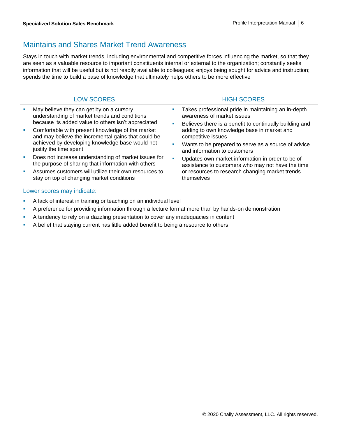## Maintains and Shares Market Trend Awareness

Stays in touch with market trends, including environmental and competitive forces influencing the market, so that they are seen as a valuable resource to important constituents internal or external to the organization; constantly seeks information that will be useful but is not readily available to colleagues; enjoys being sought for advice and instruction; spends the time to build a base of knowledge that ultimately helps others to be more effective

|    | <b>LOW SCORES</b>                                                                                                                                                                                                 | <b>HIGH SCORES</b>                                                                                                                                                     |
|----|-------------------------------------------------------------------------------------------------------------------------------------------------------------------------------------------------------------------|------------------------------------------------------------------------------------------------------------------------------------------------------------------------|
|    | May believe they can get by on a cursory<br>understanding of market trends and conditions<br>because its added value to others isn't appreciated                                                                  | Takes professional pride in maintaining an in-depth<br>awareness of market issues<br>Believes there is a benefit to continually building and                           |
| ш  | Comfortable with present knowledge of the market<br>and may believe the incremental gains that could be<br>achieved by developing knowledge base would not<br>justify the time spent                              | adding to own knowledge base in market and<br>competitive issues<br>Wants to be prepared to serve as a source of advice<br>and information to customers                |
| a. | Does not increase understanding of market issues for<br>the purpose of sharing that information with others<br>Assumes customers will utilize their own resources to<br>stay on top of changing market conditions | Updates own market information in order to be of<br>assistance to customers who may not have the time<br>or resources to research changing market trends<br>themselves |
|    |                                                                                                                                                                                                                   |                                                                                                                                                                        |

- **EXTER** A lack of interest in training or teaching on an individual level
- **•** A preference for providing information through a lecture format more than by hands-on demonstration
- **•** A tendency to rely on a dazzling presentation to cover any inadequacies in content
- **EXECT** A belief that staying current has little added benefit to being a resource to others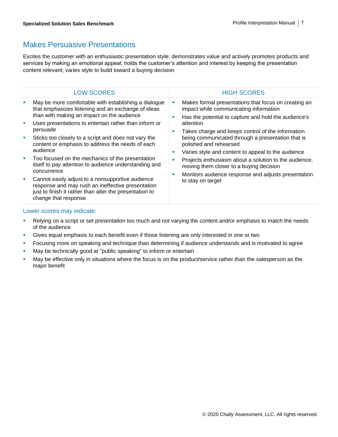## Makes Persuasive Presentations

Excites the customer with an enthusiastic presentation style; demonstrates value and actively promotes products and services by making an emotional appeal; holds the customer's attention and interest by keeping the presentation content relevant; varies style to build toward a buying decision

| <b>LOW SCORES</b>                                                                                                                                                                                                                                                                                                                                                                                                                                                                 |        | <b>HIGH SCORES</b>                                                                                                                                                                                                                                                                                                                                                                                                                                                |
|-----------------------------------------------------------------------------------------------------------------------------------------------------------------------------------------------------------------------------------------------------------------------------------------------------------------------------------------------------------------------------------------------------------------------------------------------------------------------------------|--------|-------------------------------------------------------------------------------------------------------------------------------------------------------------------------------------------------------------------------------------------------------------------------------------------------------------------------------------------------------------------------------------------------------------------------------------------------------------------|
| May be more comfortable with establishing a dialogue<br>that emphasizes listening and an exchange of ideas<br>than with making an impact on the audience<br>Uses presentations to entertain rather than inform or<br>persuade<br>Sticks too closely to a script and does not vary the<br>content or emphasis to address the needs of each<br>audience<br>Too focused on the mechanics of the presentation<br>itself to pay attention to audience understanding and<br>concurrence | г<br>г | Makes formal presentations that focus on creating an<br>impact while communicating information<br>Has the potential to capture and hold the audience's<br>attention<br>Takes charge and keeps control of the information<br>being communicated through a presentation that is<br>polished and rehearsed<br>Varies style and content to appeal to the audience<br>Projects enthusiasm about a solution to the audience,<br>moving them closer to a buying decision |
| Cannot easily adjust to a nonsupportive audience<br>response and may rush an ineffective presentation<br>just to finish it rather than alter the presentation to<br>change that response                                                                                                                                                                                                                                                                                          | п      | Monitors audience response and adjusts presentation<br>to stay on target                                                                                                                                                                                                                                                                                                                                                                                          |
|                                                                                                                                                                                                                                                                                                                                                                                                                                                                                   |        |                                                                                                                                                                                                                                                                                                                                                                                                                                                                   |

- **Relying on a script or set presentation too much and not varying the content and/or emphasis to match the needs** of the audience
- **EXECT** Gives equal emphasis to each benefit even if those listening are only interested in one or two
- **•** Focusing more on speaking and technique than determining if audience understands and is motivated to agree
- **■** May be technically good at "public speaking" to inform or entertain
- **■** May be effective only in situations where the focus is on the product/service rather than the salesperson as the major benefit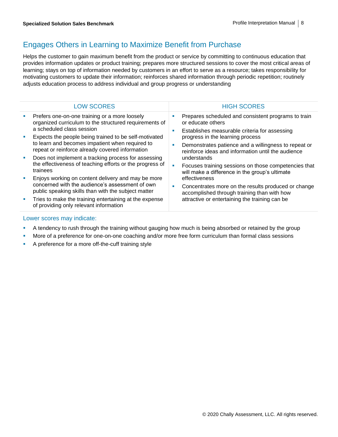## Engages Others in Learning to Maximize Benefit from Purchase

Helps the customer to gain maximum benefit from the product or service by committing to continuous education that provides information updates or product training; prepares more structured sessions to cover the most critical areas of learning; stays on top of information needed by customers in an effort to serve as a resource; takes responsibility for motivating customers to update their information; reinforces shared information through periodic repetition; routinely adjusts education process to address individual and group progress or understanding

|    | <b>LOW SCORES</b>                                                                                                                                                                                                                                |        | <b>HIGH SCORES</b>                                                                                                                                                                                                    |
|----|--------------------------------------------------------------------------------------------------------------------------------------------------------------------------------------------------------------------------------------------------|--------|-----------------------------------------------------------------------------------------------------------------------------------------------------------------------------------------------------------------------|
|    | Prefers one-on-one training or a more loosely<br>organized curriculum to the structured requirements of<br>a scheduled class session<br>Expects the people being trained to be self-motivated<br>to learn and becomes impatient when required to | ш<br>ш | Prepares scheduled and consistent programs to train<br>or educate others<br>Establishes measurable criteria for assessing<br>progress in the learning process<br>Demonstrates patience and a willingness to repeat or |
| a. | repeat or reinforce already covered information<br>Does not implement a tracking process for assessing<br>the effectiveness of teaching efforts or the progress of<br>trainees<br>Enjoys working on content delivery and may be more             | ш      | reinforce ideas and information until the audience<br>understands<br>Focuses training sessions on those competencies that<br>will make a difference in the group's ultimate<br>effectiveness                          |
| a. | concerned with the audience's assessment of own<br>public speaking skills than with the subject matter<br>Tries to make the training entertaining at the expense<br>of providing only relevant information                                       | ш      | Concentrates more on the results produced or change<br>accomplished through training than with how<br>attractive or entertaining the training can be                                                                  |

- **•** A tendency to rush through the training without gauging how much is being absorbed or retained by the group
- **■** More of a preference for one-on-one coaching and/or more free form curriculum than formal class sessions
- A preference for a more off-the-cuff training style